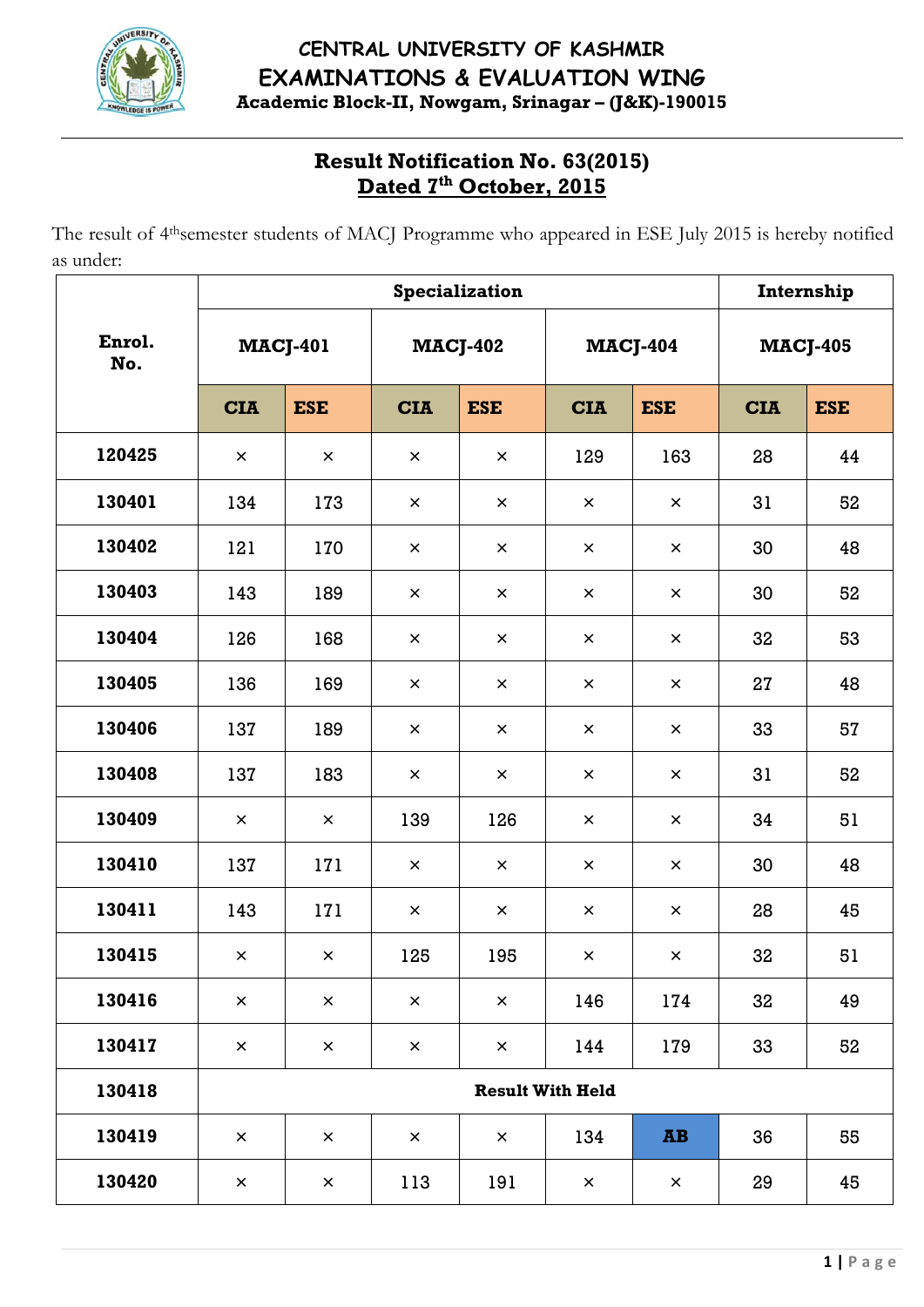

## **CENTRAL UNIVERSITY OF KASHMIR EXAMINATIONS & EVALUATION WING Academic Block-II, Nowgam, Srinagar – (J&K)-190015**

# **Result Notification No. 63(2015) Dated 7th October, 2015**

The result of 4thsemester students of MACJ Programme who appeared in ESE July 2015 is hereby notified as under:

|               | Specialization          |                |                 |                |                 |                                   |                 | Internship |  |
|---------------|-------------------------|----------------|-----------------|----------------|-----------------|-----------------------------------|-----------------|------------|--|
| Enrol.<br>No. | <b>MACJ-401</b>         |                | <b>MACJ-402</b> |                | <b>MACJ-404</b> |                                   | <b>MACJ-405</b> |            |  |
|               | <b>CIA</b>              | <b>ESE</b>     | <b>CIA</b>      | <b>ESE</b>     | <b>CIA</b>      | <b>ESE</b>                        | <b>CIA</b>      | <b>ESE</b> |  |
| 120425        | $\times$                | $\pmb{\times}$ | $\times$        | $\times$       | 129             | 163                               | 28              | 44         |  |
| 130401        | 134                     | 173            | $\times$        | $\pmb{\times}$ | $\pmb{\times}$  | $\pmb{\times}$                    | 31              | 52         |  |
| 130402        | 121                     | 170            | $\times$        | $\times$       | $\times$        | $\times$                          | 30              | 48         |  |
| 130403        | 143                     | 189            | $\times$        | $\pmb{\times}$ | $\times$        | $\pmb{\times}$                    | 30              | 52         |  |
| 130404        | 126                     | 168            | $\times$        | $\pmb{\times}$ | $\times$        | $\times$                          | 32              | 53         |  |
| 130405        | 136                     | 169            | $\times$        | $\times$       | $\times$        | $\times$                          | 27              | 48         |  |
| 130406        | 137                     | 189            | $\times$        | $\pmb{\times}$ | $\times$        | $\pmb{\times}$                    | 33              | 57         |  |
| 130408        | 137                     | 183            | $\times$        | $\pmb{\times}$ | $\times$        | $\pmb{\times}$                    | 31              | 52         |  |
| 130409        | $\times$                | $\pmb{\times}$ | 139             | 126            | $\pmb{\times}$  | $\pmb{\times}$                    | 34              | 51         |  |
| 130410        | 137                     | 171            | $\times$        | $\times$       | $\times$        | $\times$                          | 30              | 48         |  |
| 130411        | 143                     | 171            | $\times$        | $\times$       | $\pmb{\times}$  | $\pmb{\times}$                    | 28              | 45         |  |
| 130415        | $\times$                | $\pmb{\times}$ | 125             | 195            | $\pmb{\times}$  | $\pmb{\times}$                    | 32              | 51         |  |
| 130416        | $\pmb{\times}$          | $\pmb{\times}$ | $\times$        | $\times$       | 146             | 174                               | 32              | 49         |  |
| 130417        | $\pmb{\times}$          | $\pmb{\times}$ | $\times$        | $\times$       | 144             | 179                               | 33              | 52         |  |
| 130418        | <b>Result With Held</b> |                |                 |                |                 |                                   |                 |            |  |
| 130419        | $\pmb{\times}$          | $\pmb{\times}$ | $\times$        | $\pmb{\times}$ | 134             | $\overline{\mathbf{A}}\mathbf{B}$ | 36              | 55         |  |
| 130420        | $\pmb{\times}$          | $\pmb{\times}$ | 113             | 191            | $\pmb{\times}$  | $\pmb{\times}$                    | 29              | 45         |  |